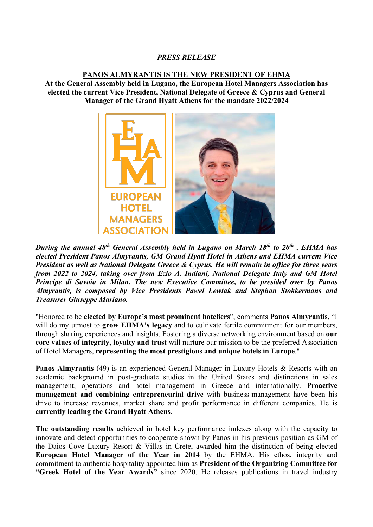## *PRESS RELEASE*

## **PANOS ALMYRANTIS IS THE NEW PRESIDENT OF EHMA**

**At the General Assembly held in Lugano, the European Hotel Managers Association has elected the current Vice President, National Delegate of Greece & Cyprus and General Manager of the Grand Hyatt Athens for the mandate 2022/2024** 



*During the annual 48th General Assembly held in Lugano on March 18th to 20th , EHMA has elected President Panos Almyrantis, GM Grand Hyatt Hotel in Athens and EHMA current Vice President as well as National Delegate Greece & Cyprus. He will remain in office for three years from 2022 to 2024, taking over from Ezio A. Indiani, National Delegate Italy and GM Hotel Principe di Savoia in Milan. The new Executive Committee, to be presided over by Panos Almyrantis, is composed by Vice Presidents Pawel Lewtak and Stephan Stokkermans and Treasurer Giuseppe Mariano.* 

"Honored to be **elected by Europe's most prominent hoteliers**", comments **Panos Almyrantis**, "I will do my utmost to **grow EHMA's legacy** and to cultivate fertile commitment for our members, through sharing experiences and insights. Fostering a diverse networking environment based on **our core values of integrity, loyalty and trust** will nurture our mission to be the preferred Association of Hotel Managers, **representing the most prestigious and unique hotels in Europe**."

**Panos Almyrantis** (49) is an experienced General Manager in Luxury Hotels & Resorts with an academic background in post-graduate studies in the United States and distinctions in sales management, operations and hotel management in Greece and internationally. **Proactive management and combining entrepreneurial drive** with business-management have been his drive to increase revenues, market share and profit performance in different companies. He is **currently leading the Grand Hyatt Athens**.

**The outstanding results** achieved in hotel key performance indexes along with the capacity to innovate and detect opportunities to cooperate shown by Panos in his previous position as GM of the Daios Cove Luxury Resort & Villas in Crete, awarded him the distinction of being elected **European Hotel Manager of the Year in 2014** by the EHMA. His ethos, integrity and commitment to authentic hospitality appointed him as **President of the Organizing Committee for "Greek Hotel of the Year Awards"** since 2020. He releases publications in travel industry